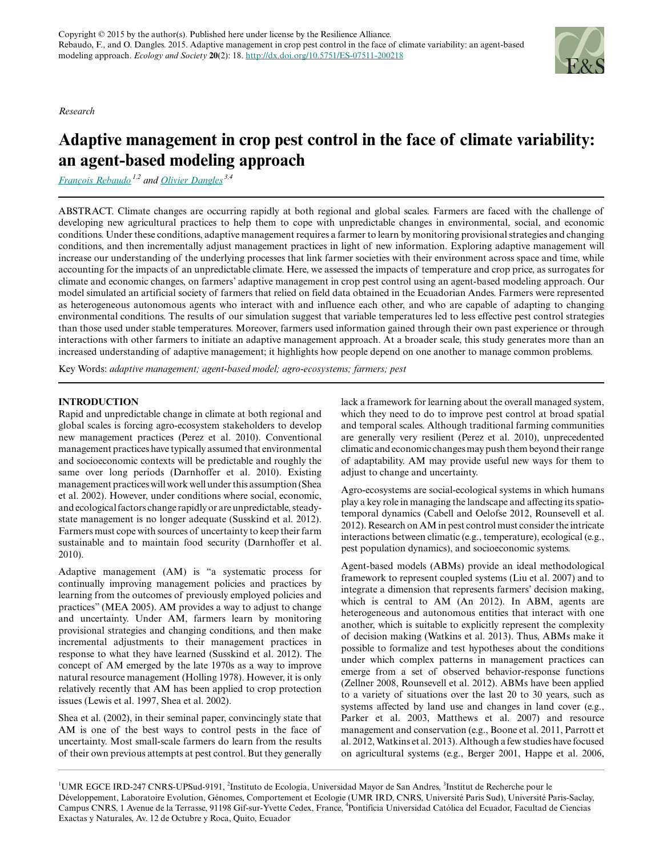*Research*

# **Adaptive management in crop pest control in the face of climate variability: an agent-based modeling approach**

*[François Rebaudo](mailto:francois.rebaudo@ird.fr) 1,2 and [Olivier Dangles](mailto:olivier.dangles@ird.fr) 3,4*

ABSTRACT. Climate changes are occurring rapidly at both regional and global scales. Farmers are faced with the challenge of developing new agricultural practices to help them to cope with unpredictable changes in environmental, social, and economic conditions. Under these conditions, adaptive management requires a farmer to learn by monitoring provisional strategies and changing conditions, and then incrementally adjust management practices in light of new information. Exploring adaptive management will increase our understanding of the underlying processes that link farmer societies with their environment across space and time, while accounting for the impacts of an unpredictable climate. Here, we assessed the impacts of temperature and crop price, as surrogates for climate and economic changes, on farmers' adaptive management in crop pest control using an agent-based modeling approach. Our model simulated an artificial society of farmers that relied on field data obtained in the Ecuadorian Andes. Farmers were represented as heterogeneous autonomous agents who interact with and influence each other, and who are capable of adapting to changing environmental conditions. The results of our simulation suggest that variable temperatures led to less effective pest control strategies than those used under stable temperatures. Moreover, farmers used information gained through their own past experience or through interactions with other farmers to initiate an adaptive management approach. At a broader scale, this study generates more than an increased understanding of adaptive management; it highlights how people depend on one another to manage common problems.

Key Words: *adaptive management; agent-based model; agro-ecosystems; farmers; pest*

# **INTRODUCTION**

Rapid and unpredictable change in climate at both regional and global scales is forcing agro-ecosystem stakeholders to develop new management practices (Perez et al. 2010). Conventional management practices have typically assumed that environmental and socioeconomic contexts will be predictable and roughly the same over long periods (Darnhoffer et al. 2010). Existing management practices will work well under this assumption (Shea et al. 2002). However, under conditions where social, economic, and ecological factors change rapidly or are unpredictable, steadystate management is no longer adequate (Susskind et al. 2012). Farmers must cope with sources of uncertainty to keep their farm sustainable and to maintain food security (Darnhoffer et al. 2010).

Adaptive management (AM) is "a systematic process for continually improving management policies and practices by learning from the outcomes of previously employed policies and practices" (MEA 2005). AM provides a way to adjust to change and uncertainty. Under AM, farmers learn by monitoring provisional strategies and changing conditions, and then make incremental adjustments to their management practices in response to what they have learned (Susskind et al. 2012). The concept of AM emerged by the late 1970s as a way to improve natural resource management (Holling 1978). However, it is only relatively recently that AM has been applied to crop protection issues (Lewis et al. 1997, Shea et al. 2002).

Shea et al. (2002), in their seminal paper, convincingly state that AM is one of the best ways to control pests in the face of uncertainty. Most small-scale farmers do learn from the results of their own previous attempts at pest control. But they generally lack a framework for learning about the overall managed system, which they need to do to improve pest control at broad spatial and temporal scales. Although traditional farming communities are generally very resilient (Perez et al. 2010), unprecedented climatic and economic changes may push them beyond their range of adaptability. AM may provide useful new ways for them to adjust to change and uncertainty.

Agro-ecosystems are social-ecological systems in which humans play a key role in managing the landscape and affecting its spatiotemporal dynamics (Cabell and Oelofse 2012, Rounsevell et al. 2012). Research on AM in pest control must consider the intricate interactions between climatic (e.g., temperature), ecological (e.g., pest population dynamics), and socioeconomic systems.

Agent-based models (ABMs) provide an ideal methodological framework to represent coupled systems (Liu et al. 2007) and to integrate a dimension that represents farmers' decision making, which is central to AM (An 2012). In ABM, agents are heterogeneous and autonomous entities that interact with one another, which is suitable to explicitly represent the complexity of decision making (Watkins et al. 2013). Thus, ABMs make it possible to formalize and test hypotheses about the conditions under which complex patterns in management practices can emerge from a set of observed behavior-response functions (Zellner 2008, Rounsevell et al. 2012). ABMs have been applied to a variety of situations over the last 20 to 30 years, such as systems affected by land use and changes in land cover (e.g., Parker et al. 2003, Matthews et al. 2007) and resource management and conservation (e.g., Boone et al. 2011, Parrott et al. 2012, Watkins et al. 2013). Although a few studies have focused on agricultural systems (e.g., Berger 2001, Happe et al. 2006,

<sup>1</sup>UMR EGCE IRD-247 CNRS-UPSud-9191, <sup>2</sup>Instituto de Ecología, Universidad Mayor de San Andres, <sup>3</sup>Institut de Recherche pour le Développement, Laboratoire Evolution, Génomes, Comportement et Ecologie (UMR IRD, CNRS, Université Paris Sud), Université Paris-Saclay, Campus CNRS, 1 Avenue de la Terrasse, 91198 Gif-sur-Yvette Cedex, France, <sup>4</sup>Pontificia Universidad Católica del Ecuador, Facultad de Ciencias Exactas y Naturales, Av. 12 de Octubre y Roca, Quito, Ecuador

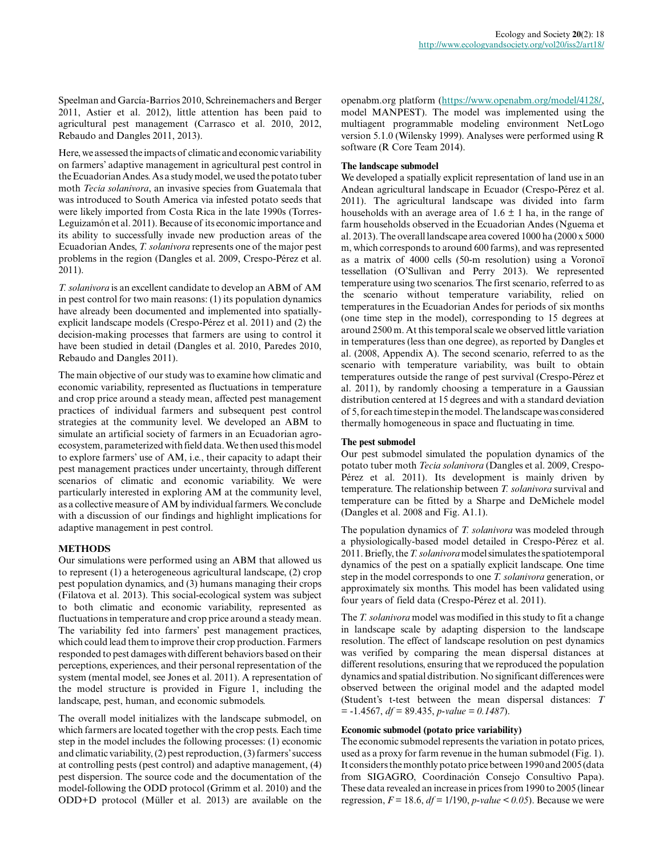Speelman and García-Barrios 2010, Schreinemachers and Berger 2011, Astier et al. 2012), little attention has been paid to agricultural pest management (Carrasco et al. 2010, 2012, Rebaudo and Dangles 2011, 2013).

Here, we assessed the impacts of climatic and economic variability on farmers' adaptive management in agricultural pest control in the Ecuadorian Andes. As a study model, we used the potato tuber moth *Tecia solanivora*, an invasive species from Guatemala that was introduced to South America via infested potato seeds that were likely imported from Costa Rica in the late 1990s (Torres-Leguizamón et al. 2011). Because of its economic importance and its ability to successfully invade new production areas of the Ecuadorian Andes, *T. solanivora* represents one of the major pest problems in the region (Dangles et al. 2009, Crespo-Pérez et al. 2011).

*T. solanivora* is an excellent candidate to develop an ABM of AM in pest control for two main reasons: (1) its population dynamics have already been documented and implemented into spatiallyexplicit landscape models (Crespo-Pérez et al. 2011) and (2) the decision-making processes that farmers are using to control it have been studied in detail (Dangles et al. 2010, Paredes 2010, Rebaudo and Dangles 2011).

The main objective of our study was to examine how climatic and economic variability, represented as fluctuations in temperature and crop price around a steady mean, affected pest management practices of individual farmers and subsequent pest control strategies at the community level. We developed an ABM to simulate an artificial society of farmers in an Ecuadorian agroecosystem, parameterized with field data. We then used this model to explore farmers' use of AM, i.e., their capacity to adapt their pest management practices under uncertainty, through different scenarios of climatic and economic variability. We were particularly interested in exploring AM at the community level, as a collective measure of AM by individual farmers. We conclude with a discussion of our findings and highlight implications for adaptive management in pest control.

## **METHODS**

Our simulations were performed using an ABM that allowed us to represent (1) a heterogeneous agricultural landscape, (2) crop pest population dynamics, and (3) humans managing their crops (Filatova et al. 2013). This social-ecological system was subject to both climatic and economic variability, represented as fluctuations in temperature and crop price around a steady mean. The variability fed into farmers' pest management practices, which could lead them to improve their crop production. Farmers responded to pest damages with different behaviors based on their perceptions, experiences, and their personal representation of the system (mental model, see Jones et al. 2011). A representation of the model structure is provided in Figure 1, including the landscape, pest, human, and economic submodels.

The overall model initializes with the landscape submodel, on which farmers are located together with the crop pests. Each time step in the model includes the following processes: (1) economic and climatic variability, (2) pest reproduction, (3) farmers' success at controlling pests (pest control) and adaptive management, (4) pest dispersion. The source code and the documentation of the model-following the ODD protocol (Grimm et al. 2010) and the ODD+D protocol (Müller et al. 2013) are available on the openabm.org platform ([https://www.openabm.org/model/4128/,](https://www.openabm.org/model/4128/) model MANPEST). The model was implemented using the multiagent programmable modeling environment NetLogo version 5.1.0 (Wilensky 1999). Analyses were performed using R software (R Core Team 2014).

#### **The landscape submodel**

We developed a spatially explicit representation of land use in an Andean agricultural landscape in Ecuador (Crespo-Pérez et al. 2011). The agricultural landscape was divided into farm households with an average area of  $1.6 \pm 1$  ha, in the range of farm households observed in the Ecuadorian Andes (Nguema et al. 2013). The overall landscape area covered 1000 ha (2000 x 5000 m, which corresponds to around 600 farms), and was represented as a matrix of 4000 cells (50-m resolution) using a Voronoï tessellation (O'Sullivan and Perry 2013). We represented temperature using two scenarios. The first scenario, referred to as the scenario without temperature variability, relied on temperatures in the Ecuadorian Andes for periods of six months (one time step in the model), corresponding to 15 degrees at around 2500 m. At this temporal scale we observed little variation in temperatures (less than one degree), as reported by Dangles et al. (2008, Appendix A). The second scenario, referred to as the scenario with temperature variability, was built to obtain temperatures outside the range of pest survival (Crespo-Pérez et al. 2011), by randomly choosing a temperature in a Gaussian distribution centered at 15 degrees and with a standard deviation of 5, for each time step in the model. The landscape was considered thermally homogeneous in space and fluctuating in time.

#### **The pest submodel**

Our pest submodel simulated the population dynamics of the potato tuber moth *Tecia solanivora* (Dangles et al. 2009, Crespo-Pérez et al. 2011). Its development is mainly driven by temperature. The relationship between *T. solanivora* survival and temperature can be fitted by a Sharpe and DeMichele model (Dangles et al. 2008 and Fig. A1.1).

The population dynamics of *T. solanivora* was modeled through a physiologically-based model detailed in Crespo-Pérez et al. 2011. Briefly, the *T. solanivora* model simulates the spatiotemporal dynamics of the pest on a spatially explicit landscape. One time step in the model corresponds to one *T. solanivora* generation, or approximately six months. This model has been validated using four years of field data (Crespo-Pérez et al. 2011).

The *T. solanivora* model was modified in this study to fit a change in landscape scale by adapting dispersion to the landscape resolution. The effect of landscape resolution on pest dynamics was verified by comparing the mean dispersal distances at different resolutions, ensuring that we reproduced the population dynamics and spatial distribution. No significant differences were observed between the original model and the adapted model (Student's t-test between the mean dispersal distances: *T* = -1.4567, *df* = 89.435, *p-value = 0.1487*).

#### **Economic submodel (potato price variability)**

The economic submodel represents the variation in potato prices, used as a proxy for farm revenue in the human submodel (Fig. 1). It considers the monthly potato price between 1990 and 2005 (data from SIGAGRO, Coordinación Consejo Consultivo Papa). These data revealed an increase in prices from 1990 to 2005 (linear regression,  $F = 18.6$ ,  $df = 1/190$ , *p-value* < 0.05). Because we were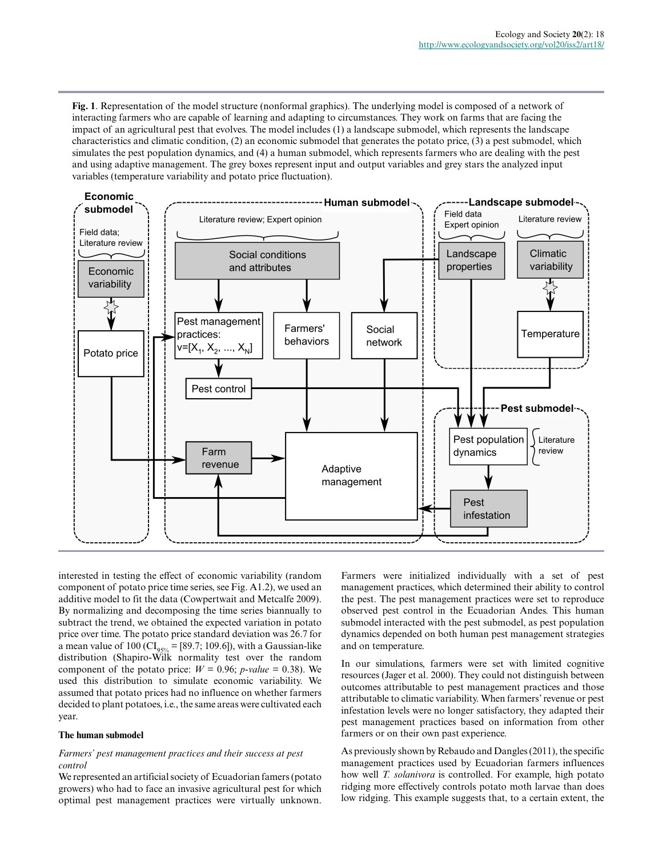**Fig. 1**. Representation of the model structure (nonformal graphics). The underlying model is composed of a network of interacting farmers who are capable of learning and adapting to circumstances. They work on farms that are facing the impact of an agricultural pest that evolves. The model includes (1) a landscape submodel, which represents the landscape characteristics and climatic condition, (2) an economic submodel that generates the potato price, (3) a pest submodel, which simulates the pest population dynamics, and (4) a human submodel, which represents farmers who are dealing with the pest and using adaptive management. The grey boxes represent input and output variables and grey stars the analyzed input variables (temperature variability and potato price fluctuation).



interested in testing the effect of economic variability (random component of potato price time series, see Fig. A1.2), we used an additive model to fit the data (Cowpertwait and Metcalfe 2009). By normalizing and decomposing the time series biannually to subtract the trend, we obtained the expected variation in potato price over time. The potato price standard deviation was 26.7 for a mean value of  $100 \, (CI_{95\%} = [89.7; 109.6])$ , with a Gaussian-like distribution (Shapiro-Wilk normality test over the random component of the potato price:  $W = 0.96$ ; *p-value* = 0.38). We used this distribution to simulate economic variability. We assumed that potato prices had no influence on whether farmers decided to plant potatoes, i.e., the same areas were cultivated each year.

## **The human submodel**

#### *Farmers' pest management practices and their success at pest control*

We represented an artificial society of Ecuadorian famers (potato growers) who had to face an invasive agricultural pest for which optimal pest management practices were virtually unknown. Farmers were initialized individually with a set of pest management practices, which determined their ability to control the pest. The pest management practices were set to reproduce observed pest control in the Ecuadorian Andes. This human submodel interacted with the pest submodel, as pest population dynamics depended on both human pest management strategies and on temperature.

In our simulations, farmers were set with limited cognitive resources (Jager et al. 2000). They could not distinguish between outcomes attributable to pest management practices and those attributable to climatic variability. When farmers' revenue or pest infestation levels were no longer satisfactory, they adapted their pest management practices based on information from other farmers or on their own past experience.

As previously shown by Rebaudo and Dangles (2011), the specific management practices used by Ecuadorian farmers influences how well *T. solanivora* is controlled. For example, high potato ridging more effectively controls potato moth larvae than does low ridging. This example suggests that, to a certain extent, the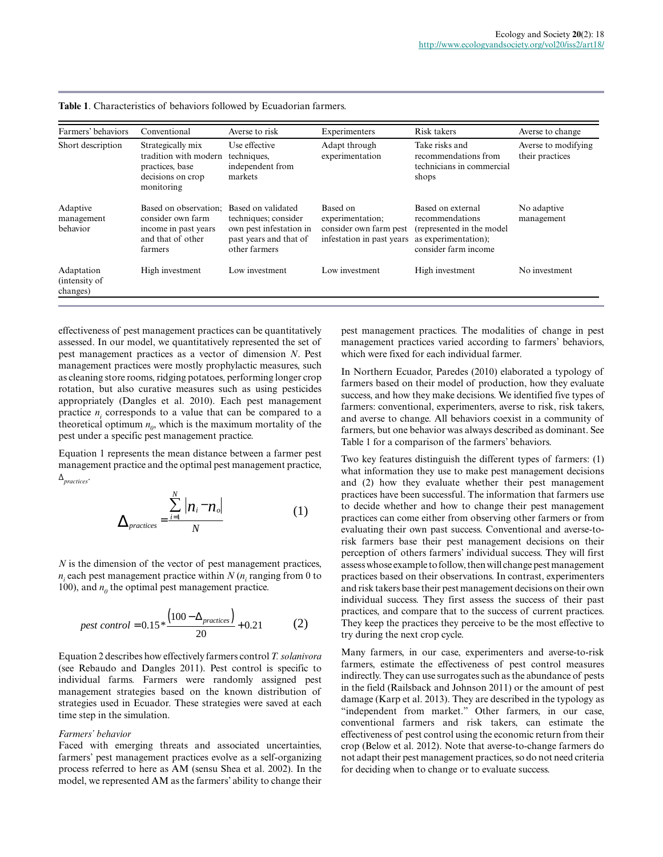| Farmers' behaviors                      | Conventional                                                                                       | Averse to risk                                                                                                   | Experimenters                                                                       | Risk takers                                                                                                        | Averse to change                       |
|-----------------------------------------|----------------------------------------------------------------------------------------------------|------------------------------------------------------------------------------------------------------------------|-------------------------------------------------------------------------------------|--------------------------------------------------------------------------------------------------------------------|----------------------------------------|
| Short description                       | Strategically mix<br>tradition with modern<br>practices, base<br>decisions on crop<br>monitoring   | Use effective<br>techniques,<br>independent from<br>markets                                                      | Adapt through<br>experimentation                                                    | Take risks and<br>recommendations from<br>technicians in commercial<br>shops                                       | Averse to modifying<br>their practices |
| Adaptive<br>management<br>behavior      | Based on observation:<br>consider own farm<br>income in past years<br>and that of other<br>farmers | Based on validated<br>techniques; consider<br>own pest infestation in<br>past years and that of<br>other farmers | Based on<br>experimentation;<br>consider own farm pest<br>infestation in past years | Based on external<br>recommendations<br>(represented in the model)<br>as experimentation);<br>consider farm income | No adaptive<br>management              |
| Adaptation<br>(intensity of<br>changes) | High investment                                                                                    | Low investment                                                                                                   | Low investment                                                                      | High investment                                                                                                    | No investment                          |

**Table 1**. Characteristics of behaviors followed by Ecuadorian farmers.

effectiveness of pest management practices can be quantitatively assessed. In our model, we quantitatively represented the set of pest management practices as a vector of dimension *N*. Pest management practices were mostly prophylactic measures, such as cleaning store rooms, ridging potatoes, performing longer crop rotation, but also curative measures such as using pesticides appropriately (Dangles et al. 2010). Each pest management practice  $n<sub>i</sub>$  corresponds to a value that can be compared to a theoretical optimum  $n_{0}$ , which is the maximum mortality of the pest under a specific pest management practice.

Equation 1 represents the mean distance between a farmer pest management practice and the optimal pest management practice, Δ*practices*.

$$
\Delta_{practices} = \frac{\sum_{i=1}^{N} |n_i - n_o|}{N}
$$
 (1)

*N* is the dimension of the vector of pest management practices,  $n_i$  each pest management practice within *N* ( $n_i$  ranging from 0 to 100), and  $n<sub>0</sub>$  the optimal pest management practice.

$$
pest \: control = 0.15 * \frac{(100 - \Delta_{pracices})}{20} + 0.21 \tag{2}
$$

Equation 2 describes how effectively farmers control *T. solanivora* (see Rebaudo and Dangles 2011). Pest control is specific to individual farms. Farmers were randomly assigned pest management strategies based on the known distribution of strategies used in Ecuador. These strategies were saved at each time step in the simulation.

#### *Farmers' behavior*

Faced with emerging threats and associated uncertainties, farmers' pest management practices evolve as a self-organizing process referred to here as AM (sensu Shea et al. 2002). In the model, we represented AM as the farmers' ability to change their pest management practices. The modalities of change in pest management practices varied according to farmers' behaviors, which were fixed for each individual farmer.

In Northern Ecuador, Paredes (2010) elaborated a typology of farmers based on their model of production, how they evaluate success, and how they make decisions. We identified five types of farmers: conventional, experimenters, averse to risk, risk takers, and averse to change. All behaviors coexist in a community of farmers, but one behavior was always described as dominant. See Table 1 for a comparison of the farmers' behaviors.

Two key features distinguish the different types of farmers: (1) what information they use to make pest management decisions and (2) how they evaluate whether their pest management practices have been successful. The information that farmers use to decide whether and how to change their pest management practices can come either from observing other farmers or from evaluating their own past success. Conventional and averse-torisk farmers base their pest management decisions on their perception of others farmers' individual success. They will first assess whose example to follow, then will change pest management practices based on their observations. In contrast, experimenters and risk takers base their pest management decisions on their own individual success. They first assess the success of their past practices, and compare that to the success of current practices. They keep the practices they perceive to be the most effective to try during the next crop cycle.

Many farmers, in our case, experimenters and averse-to-risk farmers, estimate the effectiveness of pest control measures indirectly. They can use surrogates such as the abundance of pests in the field (Railsback and Johnson 2011) or the amount of pest damage (Karp et al. 2013). They are described in the typology as "independent from market." Other farmers, in our case, conventional farmers and risk takers, can estimate the effectiveness of pest control using the economic return from their crop (Below et al. 2012). Note that averse-to-change farmers do not adapt their pest management practices, so do not need criteria for deciding when to change or to evaluate success.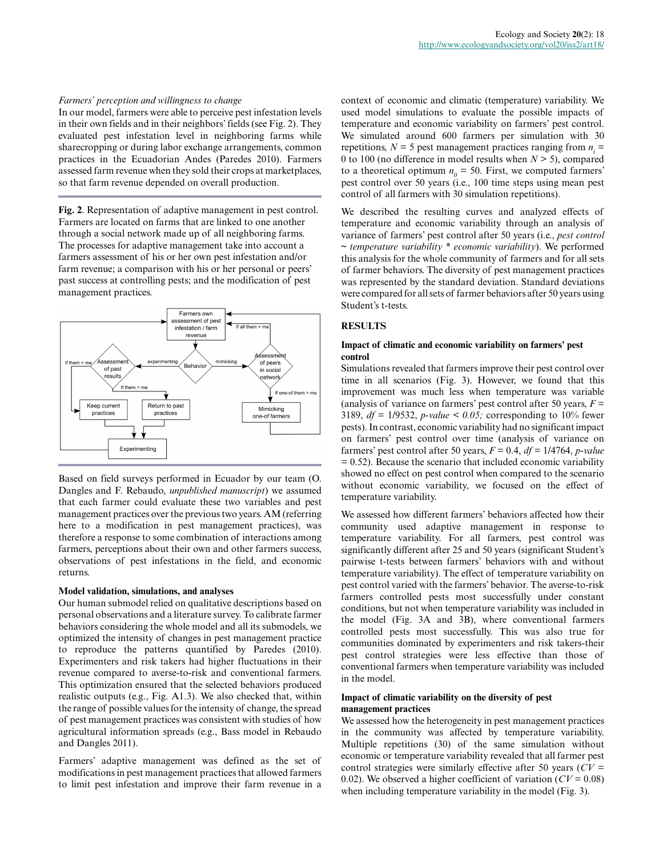#### *Farmers' perception and willingness to change*

In our model, farmers were able to perceive pest infestation levels in their own fields and in their neighbors' fields (see Fig. 2). They evaluated pest infestation level in neighboring farms while sharecropping or during labor exchange arrangements, common practices in the Ecuadorian Andes (Paredes 2010). Farmers assessed farm revenue when they sold their crops at marketplaces, so that farm revenue depended on overall production.

**Fig. 2**. Representation of adaptive management in pest control. Farmers are located on farms that are linked to one another through a social network made up of all neighboring farms. The processes for adaptive management take into account a farmers assessment of his or her own pest infestation and/or farm revenue; a comparison with his or her personal or peers' past success at controlling pests; and the modification of pest management practices.



Based on field surveys performed in Ecuador by our team (O. Dangles and F. Rebaudo, *unpublished manuscript*) we assumed that each farmer could evaluate these two variables and pest management practices over the previous two years. AM (referring here to a modification in pest management practices), was therefore a response to some combination of interactions among farmers, perceptions about their own and other farmers success, observations of pest infestations in the field, and economic returns.

#### **Model validation, simulations, and analyses**

Our human submodel relied on qualitative descriptions based on personal observations and a literature survey. To calibrate farmer behaviors considering the whole model and all its submodels, we optimized the intensity of changes in pest management practice to reproduce the patterns quantified by Paredes (2010). Experimenters and risk takers had higher fluctuations in their revenue compared to averse-to-risk and conventional farmers. This optimization ensured that the selected behaviors produced realistic outputs (e.g., Fig. A1.3). We also checked that, within the range of possible values for the intensity of change, the spread of pest management practices was consistent with studies of how agricultural information spreads (e.g., Bass model in Rebaudo and Dangles 2011).

Farmers' adaptive management was defined as the set of modifications in pest management practices that allowed farmers to limit pest infestation and improve their farm revenue in a context of economic and climatic (temperature) variability. We used model simulations to evaluate the possible impacts of temperature and economic variability on farmers' pest control. We simulated around 600 farmers per simulation with 30 repetitions,  $N = 5$  pest management practices ranging from  $n<sub>i</sub> =$ 0 to 100 (no difference in model results when *N* > 5), compared to a theoretical optimum  $n_0 = 50$ . First, we computed farmers' pest control over 50 years (i.e., 100 time steps using mean pest control of all farmers with 30 simulation repetitions).

We described the resulting curves and analyzed effects of temperature and economic variability through an analysis of variance of farmers' pest control after 50 years (i.e., *pest control ~ temperature variability \* economic variability*). We performed this analysis for the whole community of farmers and for all sets of farmer behaviors. The diversity of pest management practices was represented by the standard deviation. Standard deviations were compared for all sets of farmer behaviors after 50 years using Student's t-tests.

#### **RESULTS**

#### **Impact of climatic and economic variability on farmers' pest control**

Simulations revealed that farmers improve their pest control over time in all scenarios (Fig. 3). However, we found that this improvement was much less when temperature was variable (analysis of variance on farmers' pest control after 50 years, *F* = 3189,  $df = 1/9532$ , *p-value* < 0.05; corresponding to 10% fewer pests). In contrast, economic variability had no significant impact on farmers' pest control over time (analysis of variance on farmers' pest control after 50 years,  $F = 0.4$ ,  $df = 1/4764$ , *p-value*  $= 0.52$ ). Because the scenario that included economic variability showed no effect on pest control when compared to the scenario without economic variability, we focused on the effect of temperature variability.

We assessed how different farmers' behaviors affected how their community used adaptive management in response to temperature variability. For all farmers, pest control was significantly different after 25 and 50 years (significant Student's pairwise t-tests between farmers' behaviors with and without temperature variability). The effect of temperature variability on pest control varied with the farmers' behavior. The averse-to-risk farmers controlled pests most successfully under constant conditions, but not when temperature variability was included in the model (Fig. 3A and 3B), where conventional farmers controlled pests most successfully. This was also true for communities dominated by experimenters and risk takers-their pest control strategies were less effective than those of conventional farmers when temperature variability was included in the model.

#### **Impact of climatic variability on the diversity of pest management practices**

We assessed how the heterogeneity in pest management practices in the community was affected by temperature variability. Multiple repetitions (30) of the same simulation without economic or temperature variability revealed that all farmer pest control strategies were similarly effective after 50 years (*CV* = 0.02). We observed a higher coefficient of variation  $(V = 0.08)$ when including temperature variability in the model (Fig. 3).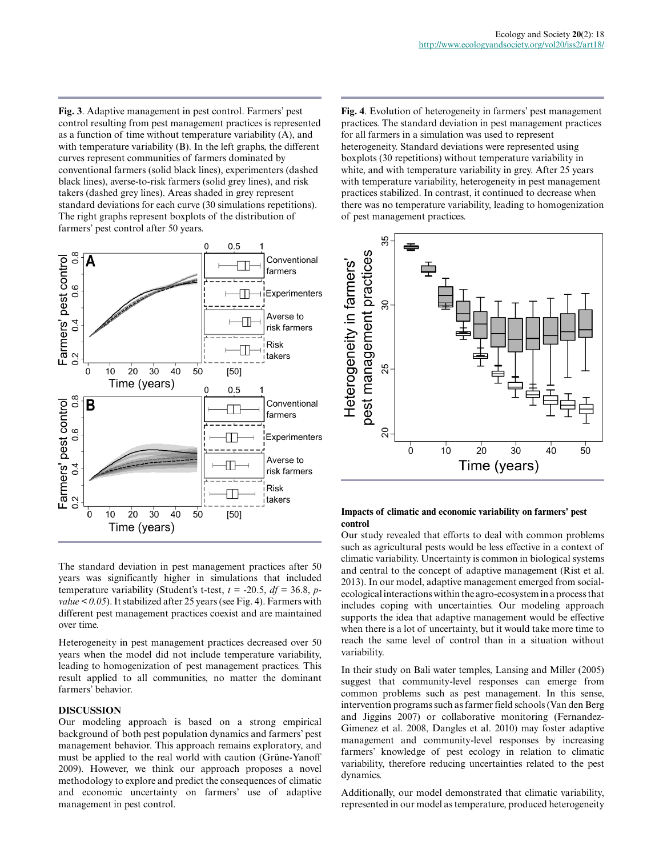**Fig. 3**. Adaptive management in pest control. Farmers' pest control resulting from pest management practices is represented as a function of time without temperature variability (A), and with temperature variability (B). In the left graphs, the different curves represent communities of farmers dominated by conventional farmers (solid black lines), experimenters (dashed black lines), averse-to-risk farmers (solid grey lines), and risk takers (dashed grey lines). Areas shaded in grey represent standard deviations for each curve (30 simulations repetitions). The right graphs represent boxplots of the distribution of farmers' pest control after 50 years.



The standard deviation in pest management practices after 50 years was significantly higher in simulations that included temperature variability (Student's t-test,  $t = -20.5$ ,  $df = 36.8$ , *pvalue < 0.05*). It stabilized after 25 years (see Fig. 4). Farmers with different pest management practices coexist and are maintained over time.

Heterogeneity in pest management practices decreased over 50 years when the model did not include temperature variability, leading to homogenization of pest management practices. This result applied to all communities, no matter the dominant farmers' behavior.

#### **DISCUSSION**

Our modeling approach is based on a strong empirical background of both pest population dynamics and farmers' pest management behavior. This approach remains exploratory, and must be applied to the real world with caution (Grüne-Yanoff 2009). However, we think our approach proposes a novel methodology to explore and predict the consequences of climatic and economic uncertainty on farmers' use of adaptive management in pest control.

**Fig. 4**. Evolution of heterogeneity in farmers' pest management practices. The standard deviation in pest management practices for all farmers in a simulation was used to represent heterogeneity. Standard deviations were represented using boxplots (30 repetitions) without temperature variability in white, and with temperature variability in grey. After 25 years with temperature variability, heterogeneity in pest management practices stabilized. In contrast, it continued to decrease when there was no temperature variability, leading to homogenization of pest management practices.



#### **Impacts of climatic and economic variability on farmers' pest control**

Our study revealed that efforts to deal with common problems such as agricultural pests would be less effective in a context of climatic variability. Uncertainty is common in biological systems and central to the concept of adaptive management (Rist et al. 2013). In our model, adaptive management emerged from socialecological interactions within the agro-ecosystem in a process that includes coping with uncertainties. Our modeling approach supports the idea that adaptive management would be effective when there is a lot of uncertainty, but it would take more time to reach the same level of control than in a situation without variability.

In their study on Bali water temples, Lansing and Miller (2005) suggest that community-level responses can emerge from common problems such as pest management. In this sense, intervention programs such as farmer field schools (Van den Berg and Jiggins 2007) or collaborative monitoring (Fernandez-Gimenez et al. 2008, Dangles et al. 2010) may foster adaptive management and community-level responses by increasing farmers' knowledge of pest ecology in relation to climatic variability, therefore reducing uncertainties related to the pest dynamics.

Additionally, our model demonstrated that climatic variability, represented in our model as temperature, produced heterogeneity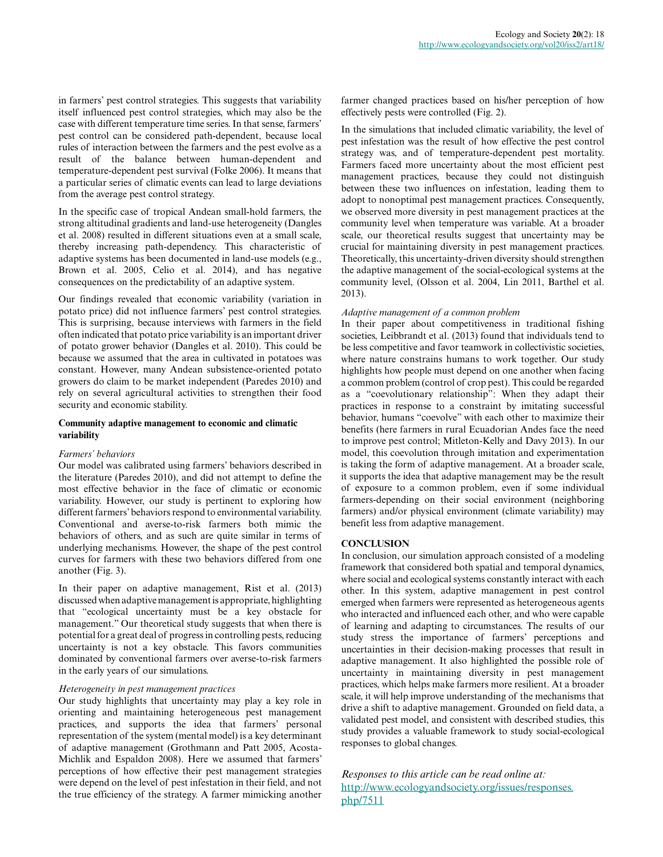in farmers' pest control strategies. This suggests that variability itself influenced pest control strategies, which may also be the case with different temperature time series. In that sense, farmers' pest control can be considered path-dependent, because local rules of interaction between the farmers and the pest evolve as a result of the balance between human-dependent and temperature-dependent pest survival (Folke 2006). It means that a particular series of climatic events can lead to large deviations from the average pest control strategy.

In the specific case of tropical Andean small-hold farmers, the strong altitudinal gradients and land-use heterogeneity (Dangles et al. 2008) resulted in different situations even at a small scale, thereby increasing path-dependency. This characteristic of adaptive systems has been documented in land-use models (e.g., Brown et al. 2005, Celio et al. 2014), and has negative consequences on the predictability of an adaptive system.

Our findings revealed that economic variability (variation in potato price) did not influence farmers' pest control strategies. This is surprising, because interviews with farmers in the field often indicated that potato price variability is an important driver of potato grower behavior (Dangles et al. 2010). This could be because we assumed that the area in cultivated in potatoes was constant. However, many Andean subsistence-oriented potato growers do claim to be market independent (Paredes 2010) and rely on several agricultural activities to strengthen their food security and economic stability.

#### **Community adaptive management to economic and climatic variability**

## *Farmers' behaviors*

Our model was calibrated using farmers' behaviors described in the literature (Paredes 2010), and did not attempt to define the most effective behavior in the face of climatic or economic variability. However, our study is pertinent to exploring how different farmers' behaviors respond to environmental variability. Conventional and averse-to-risk farmers both mimic the behaviors of others, and as such are quite similar in terms of underlying mechanisms. However, the shape of the pest control curves for farmers with these two behaviors differed from one another (Fig. 3).

In their paper on adaptive management, Rist et al. (2013) discussed when adaptive management is appropriate, highlighting that "ecological uncertainty must be a key obstacle for management." Our theoretical study suggests that when there is potential for a great deal of progress in controlling pests, reducing uncertainty is not a key obstacle. This favors communities dominated by conventional farmers over averse-to-risk farmers in the early years of our simulations.

#### *Heterogeneity in pest management practices*

Our study highlights that uncertainty may play a key role in orienting and maintaining heterogeneous pest management practices, and supports the idea that farmers' personal representation of the system (mental model) is a key determinant of adaptive management (Grothmann and Patt 2005, Acosta-Michlik and Espaldon 2008). Here we assumed that farmers' perceptions of how effective their pest management strategies were depend on the level of pest infestation in their field, and not the true efficiency of the strategy. A farmer mimicking another

farmer changed practices based on his/her perception of how effectively pests were controlled (Fig. 2).

In the simulations that included climatic variability, the level of pest infestation was the result of how effective the pest control strategy was, and of temperature-dependent pest mortality. Farmers faced more uncertainty about the most efficient pest management practices, because they could not distinguish between these two influences on infestation, leading them to adopt to nonoptimal pest management practices. Consequently, we observed more diversity in pest management practices at the community level when temperature was variable. At a broader scale, our theoretical results suggest that uncertainty may be crucial for maintaining diversity in pest management practices. Theoretically, this uncertainty-driven diversity should strengthen the adaptive management of the social-ecological systems at the community level, (Olsson et al. 2004, Lin 2011, Barthel et al. 2013).

#### *Adaptive management of a common problem*

In their paper about competitiveness in traditional fishing societies, Leibbrandt et al. (2013) found that individuals tend to be less competitive and favor teamwork in collectivistic societies, where nature constrains humans to work together. Our study highlights how people must depend on one another when facing a common problem (control of crop pest). This could be regarded as a "coevolutionary relationship": When they adapt their practices in response to a constraint by imitating successful behavior, humans "coevolve" with each other to maximize their benefits (here farmers in rural Ecuadorian Andes face the need to improve pest control; Mitleton-Kelly and Davy 2013). In our model, this coevolution through imitation and experimentation is taking the form of adaptive management. At a broader scale, it supports the idea that adaptive management may be the result of exposure to a common problem, even if some individual farmers-depending on their social environment (neighboring farmers) and/or physical environment (climate variability) may benefit less from adaptive management.

#### **CONCLUSION**

In conclusion, our simulation approach consisted of a modeling framework that considered both spatial and temporal dynamics, where social and ecological systems constantly interact with each other. In this system, adaptive management in pest control emerged when farmers were represented as heterogeneous agents who interacted and influenced each other, and who were capable of learning and adapting to circumstances. The results of our study stress the importance of farmers' perceptions and uncertainties in their decision-making processes that result in adaptive management. It also highlighted the possible role of uncertainty in maintaining diversity in pest management practices, which helps make farmers more resilient. At a broader scale, it will help improve understanding of the mechanisms that drive a shift to adaptive management. Grounded on field data, a validated pest model, and consistent with described studies, this study provides a valuable framework to study social-ecological responses to global changes.

*Responses to this article can be read online at:* [http://www.ecologyandsociety.org/issues/responses.](http://www.ecologyandsociety.org/issues/responses.php/7511) [php/7511](http://www.ecologyandsociety.org/issues/responses.php/7511)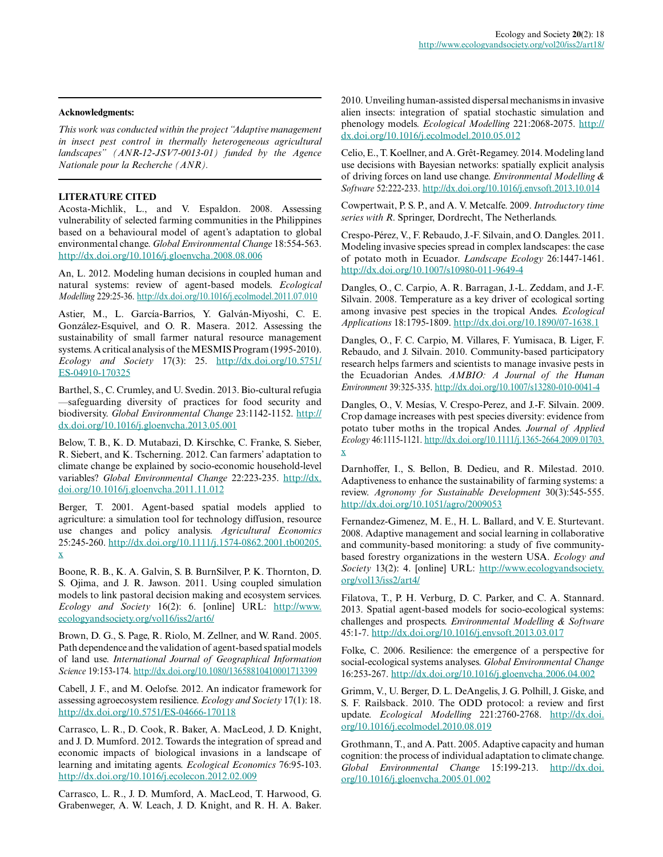#### **Acknowledgments:**

*This work was conducted within the project "Adaptive management in insect pest control in thermally heterogeneous agricultural landscapes" (ANR-12-JSV7-0013-01) funded by the Agence Nationale pour la Recherche (ANR).*

# **LITERATURE CITED**

Acosta-Michlik, L., and V. Espaldon. 2008. Assessing vulnerability of selected farming communities in the Philippines based on a behavioural model of agent's adaptation to global environmental change. *Global Environmental Change* 18:554-563. [http://dx.doi.org/10.1016/j.gloenvcha.2008.08.006](http://dx.doi.org/10.1016%2Fj.gloenvcha.2008.08.006)

An, L. 2012. Modeling human decisions in coupled human and natural systems: review of agent-based models. *Ecological Modelling* 229:25-36. [http://dx.doi.org/10.1016/j.ecolmodel.2011.07.010](http://dx.doi.org/10.1016%2Fj.ecolmodel.2011.07.010)

Astier, M., L. García-Barrios, Y. Galván-Miyoshi, C. E. González-Esquivel, and O. R. Masera. 2012. Assessing the sustainability of small farmer natural resource management systems. A critical analysis of the MESMIS Program (1995-2010). *Ecology and Society* 17(3): 25. [http://dx.doi.org/10.5751/](http://dx.doi.org/10.5751%2FES-04910-170325) [ES-04910-170325](http://dx.doi.org/10.5751%2FES-04910-170325)

Barthel, S., C. Crumley, and U. Svedin. 2013. Bio-cultural refugia —safeguarding diversity of practices for food security and biodiversity. *Global Environmental Change* 23:1142-1152. [http://](http://dx.doi.org/10.1016%2Fj.gloenvcha.2013.05.001) [dx.doi.org/10.1016/j.gloenvcha.2013.05.001](http://dx.doi.org/10.1016%2Fj.gloenvcha.2013.05.001) 

Below, T. B., K. D. Mutabazi, D. Kirschke, C. Franke, S. Sieber, R. Siebert, and K. Tscherning. 2012. Can farmers' adaptation to climate change be explained by socio-economic household-level variables? *Global Environmental Change* 22:223-235. [http://dx.](http://dx.doi.org/10.1016%2Fj.gloenvcha.2011.11.012) [doi.org/10.1016/j.gloenvcha.2011.11.012](http://dx.doi.org/10.1016%2Fj.gloenvcha.2011.11.012) 

Berger, T. 2001. Agent-based spatial models applied to agriculture: a simulation tool for technology diffusion, resource use changes and policy analysis. *Agricultural Economics* 25:245-260. [http://dx.doi.org/10.1111/j.1574-0862.2001.tb00205.](http://dx.doi.org/10.1111%2Fj.1574-0862.2001.tb00205.x) [x](http://dx.doi.org/10.1111%2Fj.1574-0862.2001.tb00205.x)

Boone, R. B., K. A. Galvin, S. B. BurnSilver, P. K. Thornton, D. S. Ojima, and J. R. Jawson. 2011. Using coupled simulation models to link pastoral decision making and ecosystem services. *Ecology and Society* 16(2): 6. [online] URL: [http://www.](http://www.ecologyandsociety.org/vol16/iss2/art6/) [ecologyandsociety.org/vol16/iss2/art6/](http://www.ecologyandsociety.org/vol16/iss2/art6/) 

Brown, D. G., S. Page, R. Riolo, M. Zellner, and W. Rand. 2005. Path dependence and the validation of agent-based spatial models of land use. *International Journal of Geographical Information Science* 19:153-174. [http://dx.doi.org/10.1080/13658810410001713399](http://dx.doi.org/10.1080%2F13658810410001713399) 

Cabell, J. F., and M. Oelofse. 2012. An indicator framework for assessing agroecosystem resilience. *Ecology and Society* 17(1): 18. [http://dx.doi.org/10.5751/ES-04666-170118](http://dx.doi.org/10.5751%2FES-04666-170118) 

Carrasco, L. R., D. Cook, R. Baker, A. MacLeod, J. D. Knight, and J. D. Mumford. 2012. Towards the integration of spread and economic impacts of biological invasions in a landscape of learning and imitating agents. *Ecological Economics* 76:95-103. [http://dx.doi.org/10.1016/j.ecolecon.2012.02.009](http://dx.doi.org/10.1016%2Fj.ecolecon.2012.02.009)

Carrasco, L. R., J. D. Mumford, A. MacLeod, T. Harwood, G. Grabenweger, A. W. Leach, J. D. Knight, and R. H. A. Baker. 2010. Unveiling human-assisted dispersal mechanisms in invasive alien insects: integration of spatial stochastic simulation and phenology models. *Ecological Modelling* 221:2068-2075. [http://](http://dx.doi.org/10.1016%2Fj.ecolmodel.2010.05.012) [dx.doi.org/10.1016/j.ecolmodel.2010.05.012](http://dx.doi.org/10.1016%2Fj.ecolmodel.2010.05.012) 

Celio, E., T. Koellner, and A. Grêt-Regamey. 2014. Modeling land use decisions with Bayesian networks: spatially explicit analysis of driving forces on land use change. *Environmental Modelling & Software* 52:222-233. [http://dx.doi.org/10.1016/j.envsoft.2013.10.014](http://dx.doi.org/10.1016%2Fj.envsoft.2013.10.014) 

Cowpertwait, P. S. P., and A. V. Metcalfe. 2009. *Introductory time series with R*. Springer, Dordrecht, The Netherlands.

Crespo-Pérez, V., F. Rebaudo, J.-F. Silvain, and O. Dangles. 2011. Modeling invasive species spread in complex landscapes: the case of potato moth in Ecuador. *Landscape Ecology* 26:1447-1461. [http://dx.doi.org/10.1007/s10980-011-9649-4](http://dx.doi.org/10.1007%2Fs10980-011-9649-4)

Dangles, O., C. Carpio, A. R. Barragan, J.-L. Zeddam, and J.-F. Silvain. 2008. Temperature as a key driver of ecological sorting among invasive pest species in the tropical Andes. *Ecological Applications* 18:1795-1809. [http://dx.doi.org/10.1890/07-1638.1](http://dx.doi.org/10.1890%2F07-1638.1)

Dangles, O., F. C. Carpio, M. Villares, F. Yumisaca, B. Liger, F. Rebaudo, and J. Silvain. 2010. Community-based participatory research helps farmers and scientists to manage invasive pests in the Ecuadorian Andes. *AMBIO: A Journal of the Human Environment* 39:325-335. [http://dx.doi.org/10.1007/s13280-010-0041-4](http://dx.doi.org/10.1007%2Fs13280-010-0041-4) 

Dangles, O., V. Mesías, V. Crespo-Perez, and J.-F. Silvain. 2009. Crop damage increases with pest species diversity: evidence from potato tuber moths in the tropical Andes. *Journal of Applied Ecology* 46:1115-1121. [http://dx.doi.org/10.1111/j.1365-2664.2009.01703.](http://dx.doi.org/10.1111%2Fj.1365-2664.2009.01703.x) [x](http://dx.doi.org/10.1111%2Fj.1365-2664.2009.01703.x) 

Darnhoffer, I., S. Bellon, B. Dedieu, and R. Milestad. 2010. Adaptiveness to enhance the sustainability of farming systems: a review. *Agronomy for Sustainable Development* 30(3):545-555. [http://dx.doi.org/10.1051/agro/2009053](http://dx.doi.org/10.1051%2Fagro%2F2009053)

Fernandez-Gimenez, M. E., H. L. Ballard, and V. E. Sturtevant. 2008. Adaptive management and social learning in collaborative and community-based monitoring: a study of five communitybased forestry organizations in the western USA. *Ecology and Society* 13(2): 4. [online] URL: [http://www.ecologyandsociety.](http://www.ecologyandsociety.org/vol13/iss2/art4/) [org/vol13/iss2/art4/](http://www.ecologyandsociety.org/vol13/iss2/art4/) 

Filatova, T., P. H. Verburg, D. C. Parker, and C. A. Stannard. 2013. Spatial agent-based models for socio-ecological systems: challenges and prospects. *Environmental Modelling & Software* 45:1-7. [http://dx.doi.org/10.1016/j.envsoft.2013.03.017](http://dx.doi.org/10.1016%2Fj.envsoft.2013.03.017) 

Folke, C. 2006. Resilience: the emergence of a perspective for social-ecological systems analyses. *Global Environmental Change* 16:253-267. [http://dx.doi.org/10.1016/j.gloenvcha.2006.04.002](http://dx.doi.org/10.1016%2Fj.gloenvcha.2006.04.002)

Grimm, V., U. Berger, D. L. DeAngelis, J. G. Polhill, J. Giske, and S. F. Railsback. 2010. The ODD protocol: a review and first update. *Ecological Modelling* 221:2760-2768. [http://dx.doi.](http://dx.doi.org/10.1016%2Fj.ecolmodel.2010.08.019) [org/10.1016/j.ecolmodel.2010.08.019](http://dx.doi.org/10.1016%2Fj.ecolmodel.2010.08.019) 

Grothmann, T., and A. Patt. 2005. Adaptive capacity and human cognition: the process of individual adaptation to climate change. *Global Environmental Change* 15:199-213. [http://dx.doi.](http://dx.doi.org/10.1016%2Fj.gloenvcha.2005.01.002) [org/10.1016/j.gloenvcha.2005.01.002](http://dx.doi.org/10.1016%2Fj.gloenvcha.2005.01.002)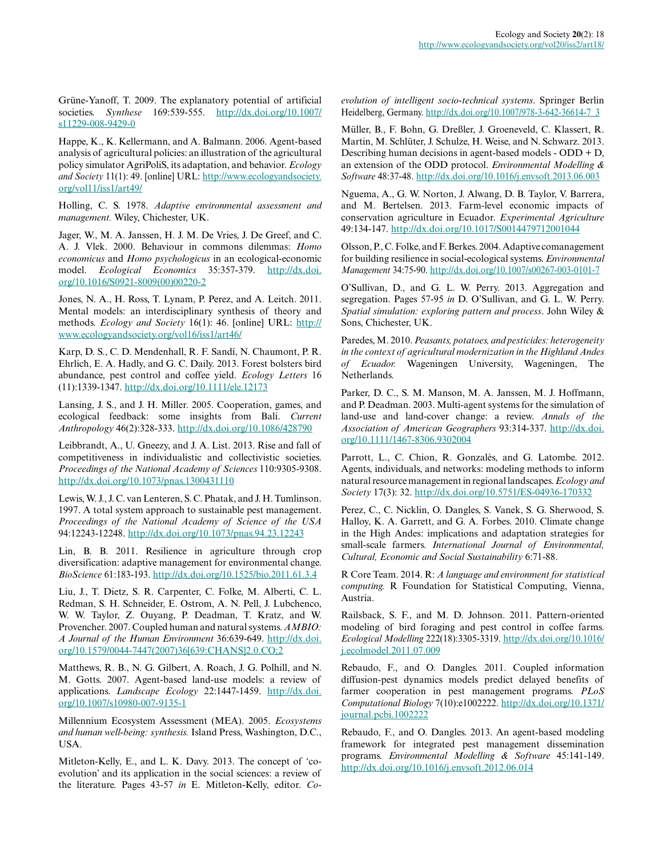Grüne-Yanoff, T. 2009. The explanatory potential of artificial societies. *Synthese* 169:539-555. [http://dx.doi.org/10.1007/](http://dx.doi.org/10.1007%2Fs11229-008-9429-0) [s11229-008-9429-0](http://dx.doi.org/10.1007%2Fs11229-008-9429-0) 

Happe, K., K. Kellermann, and A. Balmann. 2006. Agent-based analysis of agricultural policies: an illustration of the agricultural policy simulator AgriPoliS, its adaptation, and behavior. *Ecology and Society* 11(1): 49. [online] URL: [http://www.ecologyandsociety.](http://www.ecologyandsociety.org/vol11/iss1/art49/) [org/vol11/iss1/art49/](http://www.ecologyandsociety.org/vol11/iss1/art49/)

Holling, C. S. 1978. *Adaptive environmental assessment and management.* Wiley, Chichester, UK.

Jager, W., M. A. Janssen, H. J. M. De Vries, J. De Greef, and C. A. J. Vlek. 2000. Behaviour in commons dilemmas: *Homo economicus* and *Homo psychologicus* in an ecological-economic model. *Ecological Economics* 35:357-379. [http://dx.doi.](http://dx.doi.org/10.1016%2FS0921-8009%2800%2900220-2) [org/10.1016/S0921-8009\(00\)00220-2](http://dx.doi.org/10.1016%2FS0921-8009%2800%2900220-2)

Jones, N. A., H. Ross, T. Lynam, P. Perez, and A. Leitch. 2011. Mental models: an interdisciplinary synthesis of theory and methods. *Ecology and Society* 16(1): 46. [online] URL: [http://](http://www.ecologyandsociety.org/vol16/iss1/art46/) [www.ecologyandsociety.org/vol16/iss1/art46/](http://www.ecologyandsociety.org/vol16/iss1/art46/)

Karp, D. S., C. D. Mendenhall, R. F. Sandí, N. Chaumont, P. R. Ehrlich, E. A. Hadly, and G. C. Daily. 2013. Forest bolsters bird abundance, pest control and coffee yield. *Ecology Letters* 16 (11):1339-1347. [http://dx.doi.org/10.1111/ele.12173](http://dx.doi.org/10.1111%2Fele.12173)

Lansing, J. S., and J. H. Miller. 2005. Cooperation, games, and ecological feedback: some insights from Bali. *Current Anthropology* 46(2):328-333. [http://dx.doi.org/10.1086/428790](http://dx.doi.org/10.1086%2F428790)

Leibbrandt, A., U. Gneezy, and J. A. List. 2013. Rise and fall of competitiveness in individualistic and collectivistic societies. *Proceedings of the National Academy of Sciences* 110:9305-9308. [http://dx.doi.org/10.1073/pnas.1300431110](http://dx.doi.org/10.1073%2Fpnas.1300431110)

Lewis, W. J., J. C. van Lenteren, S. C. Phatak, and J. H. Tumlinson. 1997. A total system approach to sustainable pest management. *Proceedings of the National Academy of Science of the USA* 94:12243-12248. [http://dx.doi.org/10.1073/pnas.94.23.12243](http://dx.doi.org/10.1073%2Fpnas.94.23.12243) 

Lin, B. B. 2011. Resilience in agriculture through crop diversification: adaptive management for environmental change. *BioScience* 61:183-193. [http://dx.doi.org/10.1525/bio.2011.61.3.4](http://dx.doi.org/10.1525%2Fbio.2011.61.3.4) 

Liu, J., T. Dietz, S. R. Carpenter, C. Folke, M. Alberti, C. L. Redman, S. H. Schneider, E. Ostrom, A. N. Pell, J. Lubchenco, W. W. Taylor, Z. Ouyang, P. Deadman, T. Kratz, and W. Provencher. 2007. Coupled human and natural systems. *AMBIO: A Journal of the Human Environment* 36:639-649. [http://dx.doi.](http://dx.doi.org/10.1579%2F0044-7447%282007%2936%5B639%3ACHANS%5D2.0.CO%3B2) [org/10.1579/0044-7447\(2007\)36\[639:CHANS\]2.0.CO;2](http://dx.doi.org/10.1579%2F0044-7447%282007%2936%5B639%3ACHANS%5D2.0.CO%3B2)

Matthews, R. B., N. G. Gilbert, A. Roach, J. G. Polhill, and N. M. Gotts. 2007. Agent-based land-use models: a review of applications. *Landscape Ecology* 22:1447-1459. [http://dx.doi.](http://dx.doi.org/10.1007%2Fs10980-007-9135-1) [org/10.1007/s10980-007-9135-1](http://dx.doi.org/10.1007%2Fs10980-007-9135-1)

Millennium Ecosystem Assessment (MEA). 2005. *Ecosystems and human well-being: synthesis.* Island Press, Washington, D.C., USA.

Mitleton-Kelly, E., and L. K. Davy. 2013. The concept of 'coevolution' and its application in the social sciences: a review of the literature. Pages 43-57 *in* E. Mitleton-Kelly, editor. *Co-* *evolution of intelligent socio-technical systems*. Springer Berlin Heidelberg, Germany. [http://dx.doi.org/10.1007/978-3-642-36614-7\\_3](http://dx.doi.org/10.1007%2F978-3-642-36614-7_3) 

Müller, B., F. Bohn, G. Dreßler, J. Groeneveld, C. Klassert, R. Martin, M. Schlüter, J. Schulze, H. Weise, and N. Schwarz. 2013. Describing human decisions in agent-based models - ODD + D, an extension of the ODD protocol. *Environmental Modelling & Software* 48:37-48. [http://dx.doi.org/10.1016/j.envsoft.2013.06.003](http://dx.doi.org/10.1016%2Fj.envsoft.2013.06.003) 

Nguema, A., G. W. Norton, J. Alwang, D. B. Taylor, V. Barrera, and M. Bertelsen. 2013. Farm-level economic impacts of conservation agriculture in Ecuador. *Experimental Agriculture* 49:134-147. [http://dx.doi.org/10.1017/S0014479712001044](http://dx.doi.org/10.1017%2FS0014479712001044)

Olsson, P., C. Folke, and F. Berkes. 2004. Adaptive comanagement for building resilience in social-ecological systems. *Environmental Management* 34:75-90. [http://dx.doi.org/10.1007/s00267-003-0101-7](http://dx.doi.org/10.1007%2Fs00267-003-0101-7) 

O'Sullivan, D., and G. L. W. Perry. 2013. Aggregation and segregation. Pages 57-95 *in* D. O'Sullivan, and G. L. W. Perry. *Spatial simulation: exploring pattern and process*. John Wiley & Sons, Chichester, UK.

Paredes, M. 2010. *Peasants, potatoes, and pesticides: heterogeneity in the context of agricultural modernization in the Highland Andes of Ecuador.* Wageningen University, Wageningen, The Netherlands.

Parker, D. C., S. M. Manson, M. A. Janssen, M. J. Hoffmann, and P. Deadman. 2003. Multi-agent systems for the simulation of land-use and land-cover change: a review. *Annals of the Association of American Geographers* 93:314-337. [http://dx.doi.](http://dx.doi.org/10.1111%2F1467-8306.9302004) [org/10.1111/1467-8306.9302004](http://dx.doi.org/10.1111%2F1467-8306.9302004)

Parrott, L., C. Chion, R. Gonzalès, and G. Latombe. 2012. Agents, individuals, and networks: modeling methods to inform natural resource management in regional landscapes. *Ecology and Society* 17(3): 32. [http://dx.doi.org/10.5751/ES-04936-170332](http://dx.doi.org/10.5751%2FES-04936-170332) 

Perez, C., C. Nicklin, O. Dangles, S. Vanek, S. G. Sherwood, S. Halloy, K. A. Garrett, and G. A. Forbes. 2010. Climate change in the High Andes: implications and adaptation strategies for small-scale farmers. *International Journal of Environmental, Cultural, Economic and Social Sustainability* 6:71-88.

R Core Team. 2014. R: *A language and environment for statistical computing.* R Foundation for Statistical Computing, Vienna, Austria.

Railsback, S. F., and M. D. Johnson. 2011. Pattern-oriented modeling of bird foraging and pest control in coffee farms. *Ecological Modelling* 222(18):3305-3319. [http://dx.doi.org/10.1016/](http://dx.doi.org/10.1016%2Fj.ecolmodel.2011.07.009) [j.ecolmodel.2011.07.009](http://dx.doi.org/10.1016%2Fj.ecolmodel.2011.07.009) 

Rebaudo, F., and O. Dangles. 2011. Coupled information diffusion-pest dynamics models predict delayed benefits of farmer cooperation in pest management programs. *PLoS Computational Biology* 7(10):e1002222. [http://dx.doi.org/10.1371/](http://dx.doi.org/10.1371%2Fjournal.pcbi.1002222) [journal.pcbi.1002222](http://dx.doi.org/10.1371%2Fjournal.pcbi.1002222)

Rebaudo, F., and O. Dangles. 2013. An agent-based modeling framework for integrated pest management dissemination programs. *Environmental Modelling & Software* 45:141-149. [http://dx.doi.org/10.1016/j.envsoft.2012.06.014](http://dx.doi.org/10.1016%2Fj.envsoft.2012.06.014)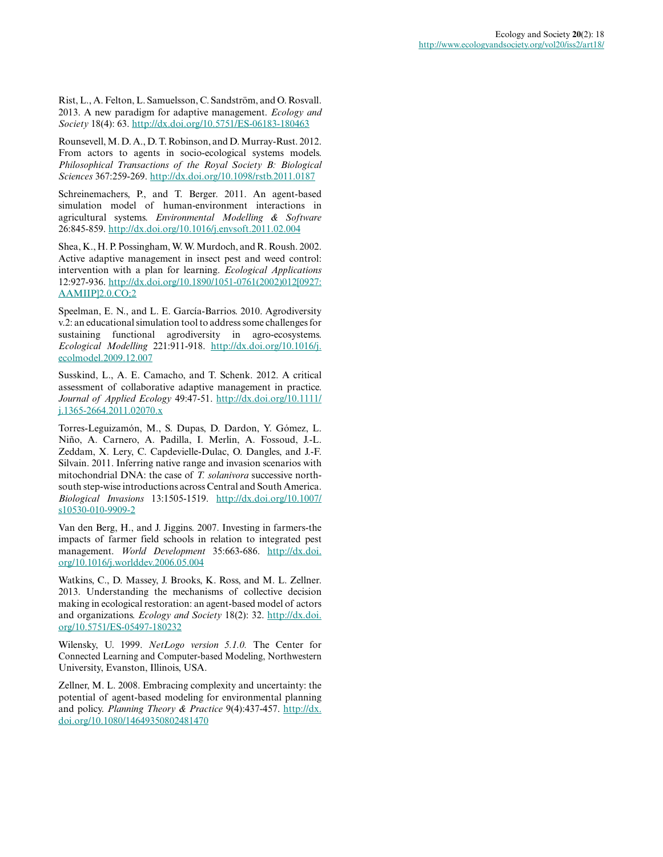Rist, L., A. Felton, L. Samuelsson, C. Sandström, and O. Rosvall. 2013. A new paradigm for adaptive management. *Ecology and Society* 18(4): 63. [http://dx.doi.org/10.5751/ES-06183-180463](http://dx.doi.org/10.5751%2FES-06183-180463) 

Rounsevell, M. D. A., D. T. Robinson, and D. Murray-Rust. 2012. From actors to agents in socio-ecological systems models. *Philosophical Transactions of the Royal Society B: Biological Sciences* 367:259-269. [http://dx.doi.org/10.1098/rstb.2011.0187](http://dx.doi.org/10.1098%2Frstb.2011.0187) 

Schreinemachers, P., and T. Berger. 2011. An agent-based simulation model of human-environment interactions in agricultural systems. *Environmental Modelling & Software* 26:845-859. [http://dx.doi.org/10.1016/j.envsoft.2011.02.004](http://dx.doi.org/10.1016%2Fj.envsoft.2011.02.004) 

Shea, K., H. P. Possingham, W. W. Murdoch, and R. Roush. 2002. Active adaptive management in insect pest and weed control: intervention with a plan for learning. *Ecological Applications* 12:927-936. [http://dx.doi.org/10.1890/1051-0761\(2002\)012\[0927:](http://dx.doi.org/10.1890%2F1051-0761%282002%29012%5B0927%3AAAMIIP%5D2.0.CO%3B2) [AAMIIP\]2.0.CO;2](http://dx.doi.org/10.1890%2F1051-0761%282002%29012%5B0927%3AAAMIIP%5D2.0.CO%3B2) 

Speelman, E. N., and L. E. García-Barrios. 2010. Agrodiversity v.2: an educational simulation tool to address some challenges for sustaining functional agrodiversity in agro-ecosystems. *Ecological Modelling* 221:911-918. [http://dx.doi.org/10.1016/j.](http://dx.doi.org/10.1016%2Fj.ecolmodel.2009.12.007) [ecolmodel.2009.12.007](http://dx.doi.org/10.1016%2Fj.ecolmodel.2009.12.007) 

Susskind, L., A. E. Camacho, and T. Schenk. 2012. A critical assessment of collaborative adaptive management in practice. *Journal of Applied Ecology* 49:47-51. [http://dx.doi.org/10.1111/](http://dx.doi.org/10.1111%2Fj.1365-2664.2011.02070.x) [j.1365-2664.2011.02070.x](http://dx.doi.org/10.1111%2Fj.1365-2664.2011.02070.x)

Torres-Leguizamón, M., S. Dupas, D. Dardon, Y. Gómez, L. Niño, A. Carnero, A. Padilla, I. Merlin, A. Fossoud, J.-L. Zeddam, X. Lery, C. Capdevielle-Dulac, O. Dangles, and J.-F. Silvain. 2011. Inferring native range and invasion scenarios with mitochondrial DNA: the case of *T. solanivora* successive northsouth step-wise introductions across Central and South America. *Biological Invasions* 13:1505-1519. [http://dx.doi.org/10.1007/](http://dx.doi.org/10.1007%2Fs10530-010-9909-2) [s10530-010-9909-2](http://dx.doi.org/10.1007%2Fs10530-010-9909-2) 

Van den Berg, H., and J. Jiggins. 2007. Investing in farmers-the impacts of farmer field schools in relation to integrated pest management. *World Development* 35:663-686. [http://dx.doi.](http://dx.doi.org/10.1016%2Fj.worlddev.2006.05.004) [org/10.1016/j.worlddev.2006.05.004](http://dx.doi.org/10.1016%2Fj.worlddev.2006.05.004)

Watkins, C., D. Massey, J. Brooks, K. Ross, and M. L. Zellner. 2013. Understanding the mechanisms of collective decision making in ecological restoration: an agent-based model of actors and organizations. *Ecology and Society* 18(2): 32. [http://dx.doi.](http://dx.doi.org/10.5751%2FES-05497-180232) [org/10.5751/ES-05497-180232](http://dx.doi.org/10.5751%2FES-05497-180232) 

Wilensky, U. 1999. *NetLogo version 5.1.0.* The Center for Connected Learning and Computer-based Modeling, Northwestern University, Evanston, Illinois, USA.

Zellner, M. L. 2008. Embracing complexity and uncertainty: the potential of agent-based modeling for environmental planning and policy. *Planning Theory & Practice* 9(4):437-457. [http://dx.](http://dx.doi.org/10.1080%2F14649350802481470) [doi.org/10.1080/14649350802481470](http://dx.doi.org/10.1080%2F14649350802481470)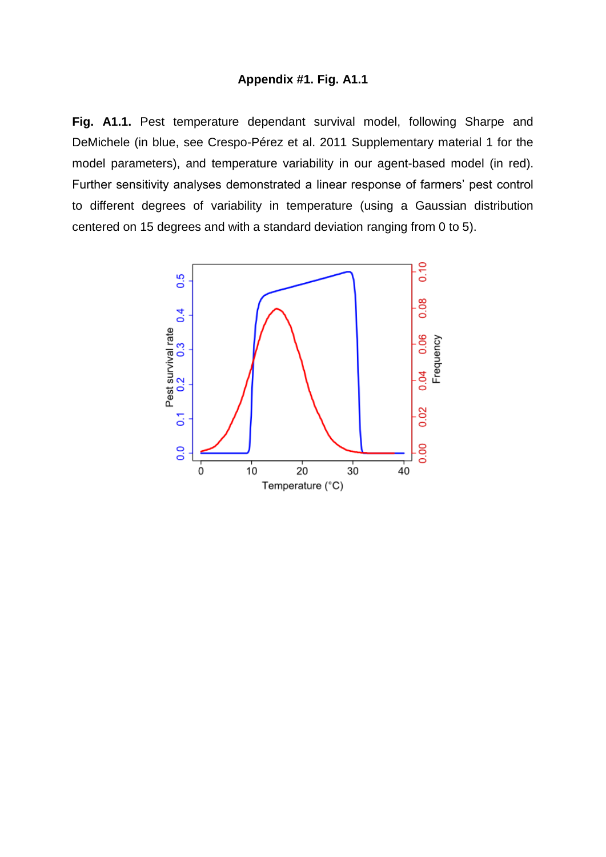# **Appendix #1. Fig. A1.1**

**Fig. A1.1.** Pest temperature dependant survival model, following Sharpe and DeMichele (in blue, see Crespo-Pérez et al. 2011 Supplementary material 1 for the model parameters), and temperature variability in our agent-based model (in red). Further sensitivity analyses demonstrated a linear response of farmers' pest control to different degrees of variability in temperature (using a Gaussian distribution centered on 15 degrees and with a standard deviation ranging from 0 to 5).

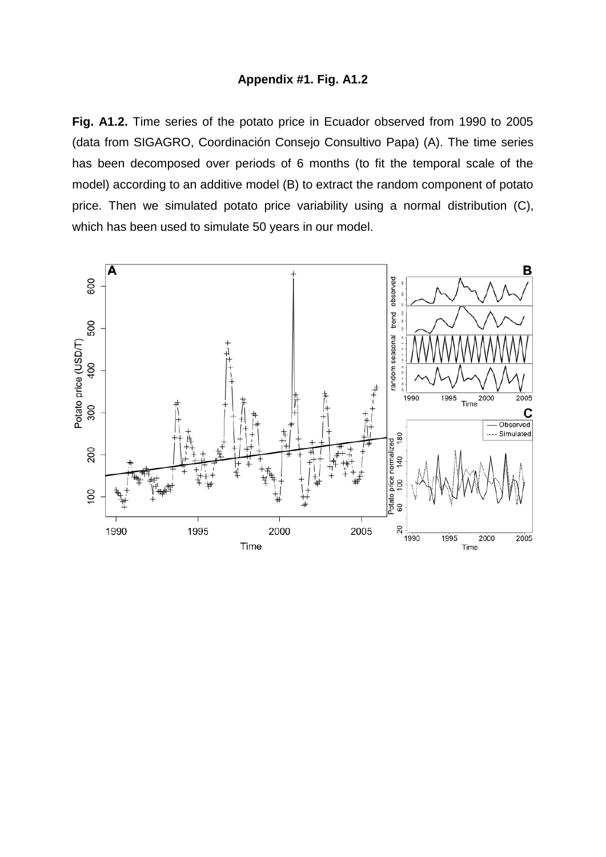# **Appendix #1. Fig. A1.2**

**Fig. A1.2.** Time series of the potato price in Ecuador observed from 1990 to 2005 (data from SIGAGRO, Coordinación Consejo Consultivo Papa) (A). The time series has been decomposed over periods of 6 months (to fit the temporal scale of the model) according to an additive model (B) to extract the random component of potato price. Then we simulated potato price variability using a normal distribution (C), which has been used to simulate 50 years in our model.